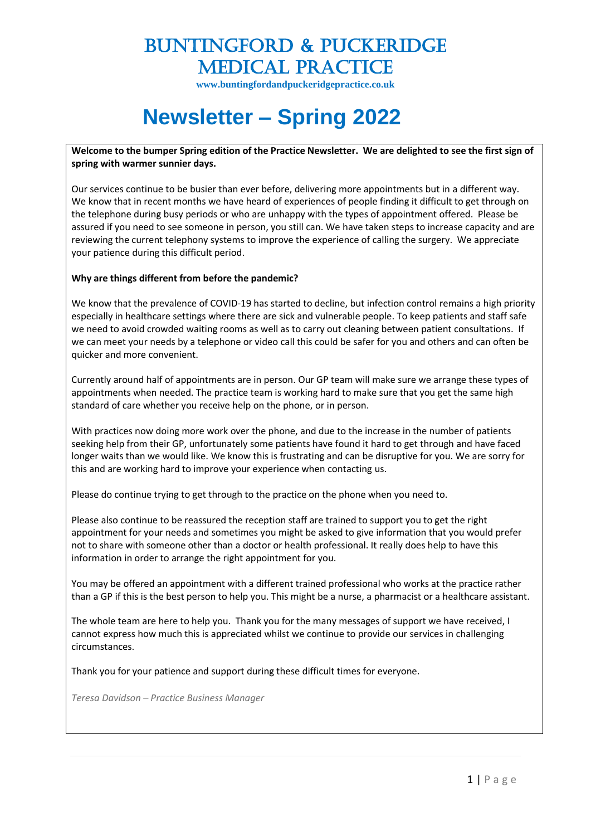**www.buntingfordandpuckeridgepractice.co.uk**

# **Newsletter – Spring 2022**

**Welcome to the bumper Spring edition of the Practice Newsletter. We are delighted to see the first sign of spring with warmer sunnier days.**

Our services continue to be busier than ever before, delivering more appointments but in a different way. We know that in recent months we have heard of experiences of people finding it difficult to get through on the telephone during busy periods or who are unhappy with the types of appointment offered. Please be assured if you need to see someone in person, you still can. We have taken steps to increase capacity and are reviewing the current telephony systems to improve the experience of calling the surgery. We appreciate your patience during this difficult period.

#### **Why are things different from before the pandemic?**

We know that the prevalence of COVID-19 has started to decline, but infection control remains a high priority especially in healthcare settings where there are sick and vulnerable people. To keep patients and staff safe we need to avoid crowded waiting rooms as well as to carry out cleaning between patient consultations. If we can meet your needs by a telephone or video call this could be safer for you and others and can often be quicker and more convenient.

Currently around half of appointments are in person. Our GP team will make sure we arrange these types of appointments when needed. The practice team is working hard to make sure that you get the same high standard of care whether you receive help on the phone, or in person.

With practices now doing more work over the phone, and due to the increase in the number of patients seeking help from their GP, unfortunately some patients have found it hard to get through and have faced longer waits than we would like. We know this is frustrating and can be disruptive for you. We are sorry for this and are working hard to improve your experience when contacting us.

Please do continue trying to get through to the practice on the phone when you need to.

Please also continue to be reassured the reception staff are trained to support you to get the right appointment for your needs and sometimes you might be asked to give information that you would prefer not to share with someone other than a doctor or health professional. It really does help to have this information in order to arrange the right appointment for you.

You may be offered an appointment with a different trained professional who works at the practice rather than a GP if this is the best person to help you. This might be a nurse, a pharmacist or a healthcare assistant.

The whole team are here to help you. Thank you for the many messages of support we have received, I cannot express how much this is appreciated whilst we continue to provide our services in challenging circumstances.

Thank you for your patience and support during these difficult times for everyone.

*Teresa Davidson – Practice Business Manager*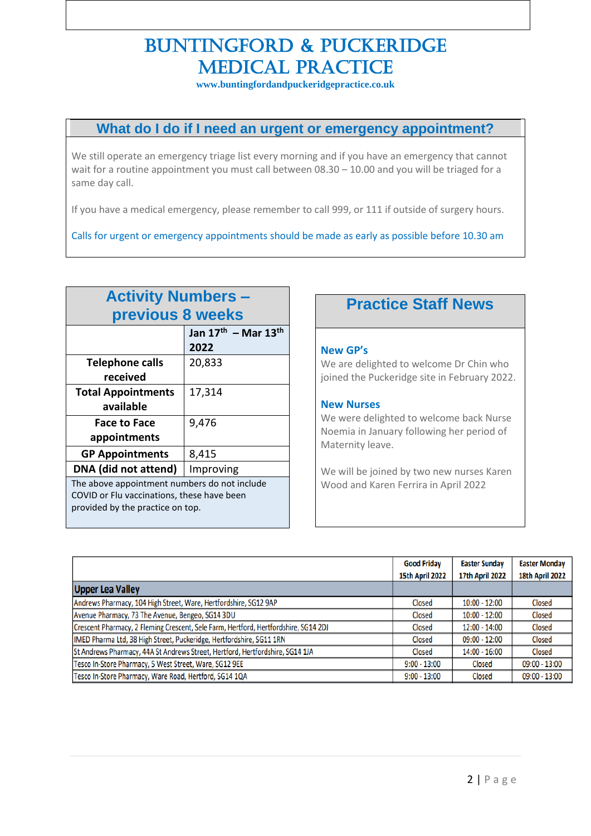**www.buntingfordandpuckeridgepractice.co.uk**

## **What do I do if I need an urgent or emergency appointment?**

We still operate an emergency triage list every morning and if you have an emergency that cannot wait for a routine appointment you must call between 08.30 – 10.00 and you will be triaged for a same day call.

If you have a medical emergency, please remember to call 999, or 111 if outside of surgery hours.

Calls for urgent or emergency appointments should be made as early as possible before 10.30 am

| <b>Activity Numbers -</b>                    |                                             |
|----------------------------------------------|---------------------------------------------|
| previous 8 weeks                             |                                             |
|                                              | Jan $17^{\text{th}}$ – Mar $13^{\text{th}}$ |
|                                              | 2022                                        |
| <b>Telephone calls</b>                       | 20,833                                      |
| received                                     |                                             |
| <b>Total Appointments</b>                    | 17,314                                      |
| available                                    |                                             |
| <b>Face to Face</b>                          | 9,476                                       |
| appointments                                 |                                             |
| <b>GP Appointments</b>                       | 8,415                                       |
| DNA (did not attend)                         | Improving                                   |
| The above appointment numbers do not include |                                             |
| COVID or Flu vaccinations, these have been   |                                             |
| provided by the practice on top.             |                                             |
|                                              |                                             |

## **Practice Staff News**

#### **New GP's**

We are delighted to welcome Dr Chin who joined the Puckeridge site in February 2022.

#### **New Nurses**

We were delighted to welcome back Nurse Noemia in January following her period of Maternity leave.

We will be joined by two new nurses Karen Wood and Karen Ferrira in April 2022

|                                                                                     | <b>Good Friday</b><br><b>15th April 2022</b> | <b>Easter Sunday</b><br><b>17th April 2022</b> | <b>Easter Monday</b><br><b>18th April 2022</b> |
|-------------------------------------------------------------------------------------|----------------------------------------------|------------------------------------------------|------------------------------------------------|
| <b>Upper Lea Valley</b>                                                             |                                              |                                                |                                                |
| Andrews Pharmacy, 104 High Street, Ware, Hertfordshire, SG12 9AP                    | Closed                                       | 10:00 - 12:00                                  | Closed                                         |
| Avenue Pharmacy, 73 The Avenue, Bengeo, SG14 3DU                                    | Closed                                       | $10:00 - 12:00$                                | Closed                                         |
| Crescent Pharmacy, 2 Fleming Crescent, Sele Farm, Hertford, Hertfordshire, SG14 2DJ | Closed                                       | $12:00 - 14:00$                                | Closed                                         |
| IMED Pharma Ltd, 38 High Street, Puckeridge, Hertfordshire, SG11 1RN                | Closed                                       | 09:00 - 12:00                                  | Closed                                         |
| St Andrews Pharmacy, 44A St Andrews Street, Hertford, Hertfordshire, SG14 1JA       | Closed                                       | 14:00 - 16:00                                  | Closed                                         |
| Tesco In-Store Pharmacy, 5 West Street, Ware, SG12 9EE                              | $9:00 - 13:00$                               | Closed                                         | $09:00 - 13:00$                                |
| Tesco In-Store Pharmacy, Ware Road, Hertford, SG14 1QA                              | $9:00 - 13:00$                               | Closed                                         | $09:00 - 13:00$                                |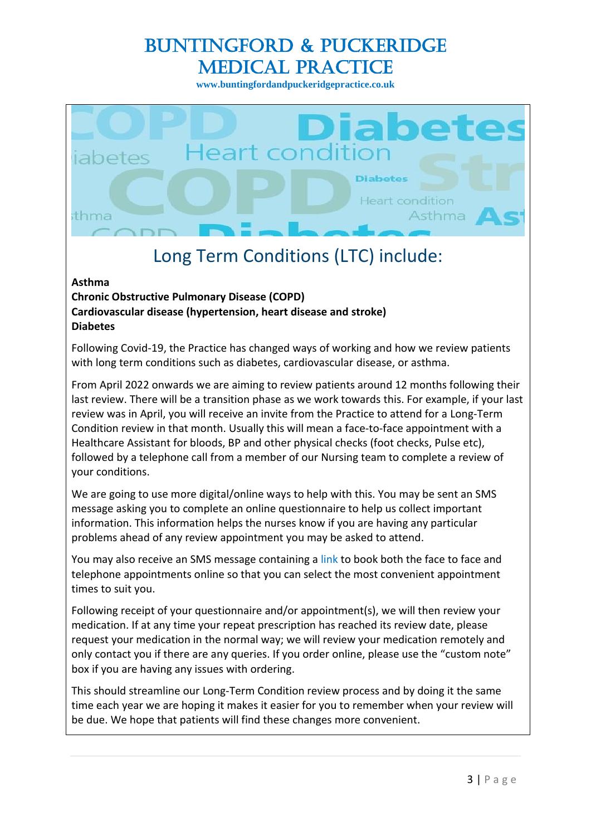**www.buntingfordandpuckeridgepractice.co.uk**



# Long Term Conditions (LTC) include:

#### **Asthma**

#### **Chronic Obstructive Pulmonary Disease (COPD) Cardiovascular disease (hypertension, heart disease and stroke) Diabetes**

Following Covid-19, the Practice has changed ways of working and how we review patients with long term conditions such as diabetes, cardiovascular disease, or asthma.

From April 2022 onwards we are aiming to review patients around 12 months following their last review. There will be a transition phase as we work towards this. For example, if your last review was in April, you will receive an invite from the Practice to attend for a Long-Term Condition review in that month. Usually this will mean a face-to-face appointment with a Healthcare Assistant for bloods, BP and other physical checks (foot checks, Pulse etc), followed by a telephone call from a member of our Nursing team to complete a review of your conditions.

We are going to use more digital/online ways to help with this. You may be sent an SMS message asking you to complete an online questionnaire to help us collect important information. This information helps the nurses know if you are having any particular problems ahead of any review appointment you may be asked to attend.

You may also receive an SMS message containing a link to book both the face to face and telephone appointments online so that you can select the most convenient appointment times to suit you.

Following receipt of your questionnaire and/or appointment(s), we will then review your medication. If at any time your repeat prescription has reached its review date, please request your medication in the normal way; we will review your medication remotely and only contact you if there are any queries. If you order online, please use the "custom note" box if you are having any issues with ordering.

This should streamline our Long-Term Condition review process and by doing it the same time each year we are hoping it makes it easier for you to remember when your review will be due. We hope that patients will find these changes more convenient.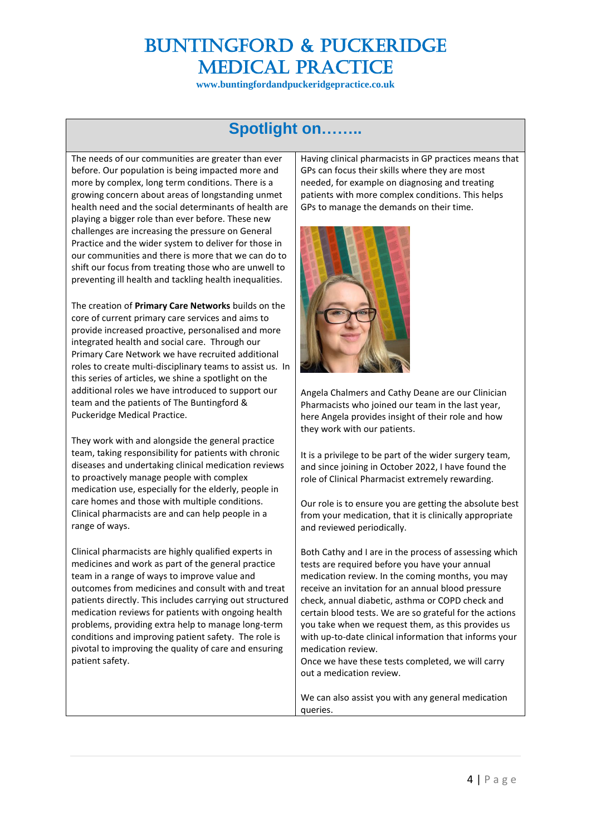**www.buntingfordandpuckeridgepractice.co.uk**

## **Spotlight on……..**

The needs of our communities are greater than ever before. Our population is being impacted more and more by complex, long term conditions. There is a growing concern about areas of longstanding unmet health need and the social determinants of health are playing a bigger role than ever before. These new challenges are increasing the pressure on General Practice and the wider system to deliver for those in our communities and there is more that we can do to shift our focus from treating those who are unwell to preventing ill health and tackling health inequalities.

The creation of **Primary Care Networks** builds on the core of current primary care services and aims to provide increased proactive, personalised and more integrated health and social care. Through our Primary Care Network we have recruited additional roles to create multi-disciplinary teams to assist us. In this series of articles, we shine a spotlight on the additional roles we have introduced to support our team and the patients of The Buntingford & Puckeridge Medical Practice.

They work with and alongside the general practice team, taking responsibility for patients with chronic diseases and undertaking clinical medication reviews to proactively manage people with complex medication use, especially for the elderly, people in care homes and those with multiple conditions. Clinical pharmacists are and can help people in a range of ways.

Clinical pharmacists are highly qualified experts in medicines and work as part of the general practice team in a range of ways to improve value and outcomes from medicines and consult with and treat patients directly. This includes carrying out structured medication reviews for patients with ongoing health problems, providing extra help to manage long-term conditions and improving patient safety. The role is pivotal to improving the quality of care and ensuring patient safety.

Having clinical pharmacists in GP practices means that GPs can focus their skills where they are most needed, for example on diagnosing and treating patients with more complex conditions. This helps GPs to manage the demands on their time.



Angela Chalmers and Cathy Deane are our Clinician Pharmacists who joined our team in the last year, here Angela provides insight of their role and how they work with our patients.

It is a privilege to be part of the wider surgery team, and since joining in October 2022, I have found the role of Clinical Pharmacist extremely rewarding.

Our role is to ensure you are getting the absolute best from your medication, that it is clinically appropriate and reviewed periodically.

Both Cathy and I are in the process of assessing which tests are required before you have your annual medication review. In the coming months, you may receive an invitation for an annual blood pressure check, annual diabetic, asthma or COPD check and certain blood tests. We are so grateful for the actions you take when we request them, as this provides us with up-to-date clinical information that informs your medication review.

Once we have these tests completed, we will carry out a medication review.

We can also assist you with any general medication queries.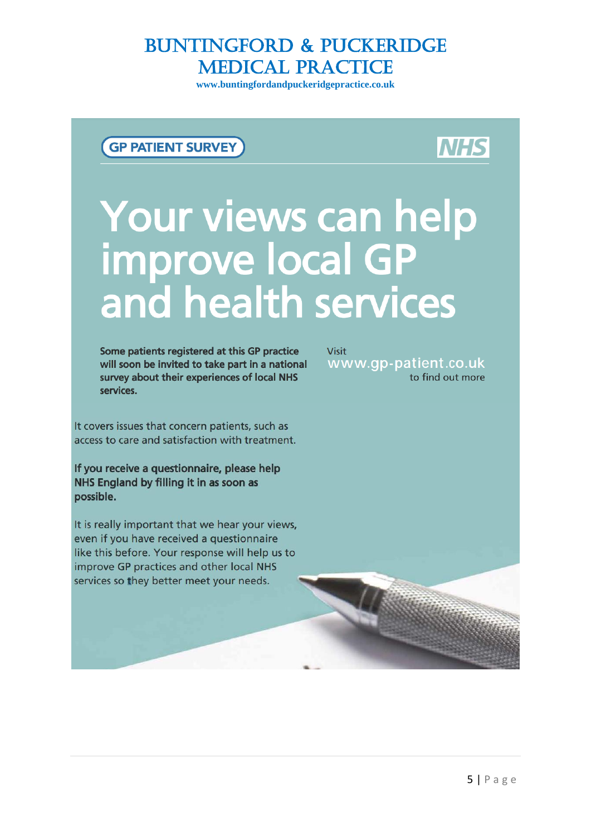**www.buntingfordandpuckeridgepractice.co.uk**

## **GP PATIENT SURVEY**

# **NHS**

# Your views can help<br>improve local GP<br>and health services

Some patients registered at this GP practice will soon be invited to take part in a national survey about their experiences of local NHS services.

It covers issues that concern patients, such as access to care and satisfaction with treatment.

If you receive a questionnaire, please help NHS England by filling it in as soon as possible.

It is really important that we hear your views, even if you have received a questionnaire like this before. Your response will help us to improve GP practices and other local NHS services so they better meet your needs.

**Visit** www.gp-patient.co.uk to find out more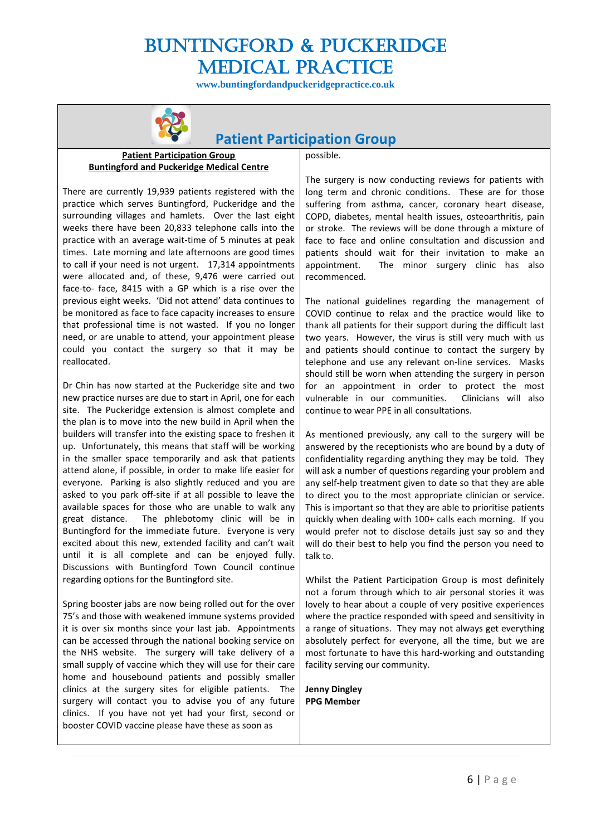**www.buntingfordandpuckeridgepractice.co.uk**



## **Patient Participation Group**

#### **Patient Participation Group Buntingford and Puckeridge Medical Centre**

There are currently 19,939 patients registered with the practice which serves Buntingford, Puckeridge and the surrounding villages and hamlets. Over the last eight weeks there have been 20,833 telephone calls into the practice with an average wait-time of 5 minutes at peak times. Late morning and late afternoons are good times to call if your need is not urgent. 17,314 appointments were allocated and, of these, 9,476 were carried out face-to- face, 8415 with a GP which is a rise over the previous eight weeks. 'Did not attend' data continues to be monitored as face to face capacity increases to ensure that professional time is not wasted. If you no longer need, or are unable to attend, your appointment please could you contact the surgery so that it may be reallocated.

Dr Chin has now started at the Puckeridge site and two new practice nurses are due to start in April, one for each site. The Puckeridge extension is almost complete and the plan is to move into the new build in April when the builders will transfer into the existing space to freshen it up. Unfortunately, this means that staff will be working in the smaller space temporarily and ask that patients attend alone, if possible, in order to make life easier for everyone. Parking is also slightly reduced and you are asked to you park off-site if at all possible to leave the available spaces for those who are unable to walk any great distance. The phlebotomy clinic will be in Buntingford for the immediate future. Everyone is very excited about this new, extended facility and can't wait until it is all complete and can be enjoyed fully. Discussions with Buntingford Town Council continue regarding options for the Buntingford site.

Spring booster jabs are now being rolled out for the over 75's and those with weakened immune systems provided it is over six months since your last jab. Appointments can be accessed through the national booking service on the NHS website. The surgery will take delivery of a small supply of vaccine which they will use for their care home and housebound patients and possibly smaller clinics at the surgery sites for eligible patients. The surgery will contact you to advise you of any future clinics. If you have not yet had your first, second or booster COVID vaccine please have these as soon as

possible.

The surgery is now conducting reviews for patients with long term and chronic conditions. These are for those suffering from asthma, cancer, coronary heart disease, COPD, diabetes, mental health issues, osteoarthritis, pain or stroke. The reviews will be done through a mixture of face to face and online consultation and discussion and patients should wait for their invitation to make an appointment. The minor surgery clinic has also recommenced.

The national guidelines regarding the management of COVID continue to relax and the practice would like to thank all patients for their support during the difficult last two years. However, the virus is still very much with us and patients should continue to contact the surgery by telephone and use any relevant on-line services. Masks should still be worn when attending the surgery in person for an appointment in order to protect the most vulnerable in our communities. Clinicians will also continue to wear PPE in all consultations.

As mentioned previously, any call to the surgery will be answered by the receptionists who are bound by a duty of confidentiality regarding anything they may be told. They will ask a number of questions regarding your problem and any self-help treatment given to date so that they are able to direct you to the most appropriate clinician or service. This is important so that they are able to prioritise patients quickly when dealing with 100+ calls each morning. If you would prefer not to disclose details just say so and they will do their best to help you find the person you need to talk to.

Whilst the Patient Participation Group is most definitely not a forum through which to air personal stories it was lovely to hear about a couple of very positive experiences where the practice responded with speed and sensitivity in a range of situations. They may not always get everything absolutely perfect for everyone, all the time, but we are most fortunate to have this hard-working and outstanding facility serving our community.

**Jenny Dingley PPG Member**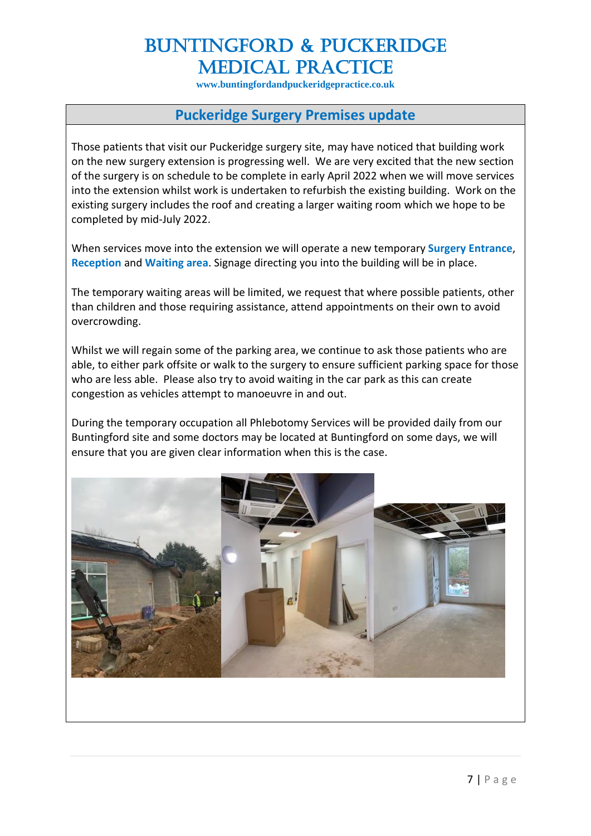**www.buntingfordandpuckeridgepractice.co.uk**

## **Puckeridge Surgery Premises update**

Those patients that visit our Puckeridge surgery site, may have noticed that building work on the new surgery extension is progressing well. We are very excited that the new section of the surgery is on schedule to be complete in early April 2022 when we will move services into the extension whilst work is undertaken to refurbish the existing building. Work on the existing surgery includes the roof and creating a larger waiting room which we hope to be completed by mid-July 2022.

When services move into the extension we will operate a new temporary **Surgery Entrance**, **Reception** and **Waiting area**. Signage directing you into the building will be in place.

The temporary waiting areas will be limited, we request that where possible patients, other than children and those requiring assistance, attend appointments on their own to avoid overcrowding.

Whilst we will regain some of the parking area, we continue to ask those patients who are able, to either park offsite or walk to the surgery to ensure sufficient parking space for those who are less able. Please also try to avoid waiting in the car park as this can create congestion as vehicles attempt to manoeuvre in and out.

During the temporary occupation all Phlebotomy Services will be provided daily from our Buntingford site and some doctors may be located at Buntingford on some days, we will ensure that you are given clear information when this is the case.

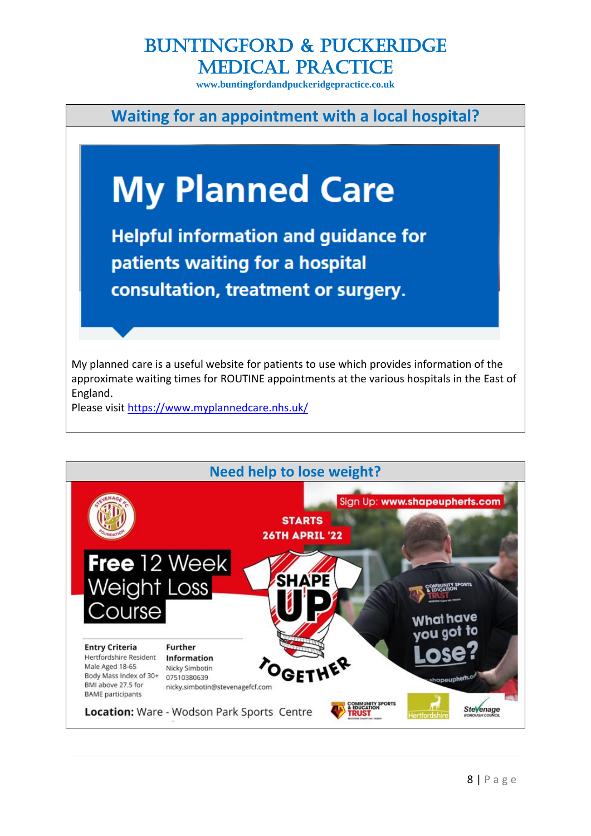**www.buntingfordandpuckeridgepractice.co.uk**

**Waiting for an appointment with a local hospital?**



My planned care is a useful website for patients to use which provides information of the approximate waiting times for ROUTINE appointments at the various hospitals in the East of England.

Please visit<https://www.myplannedcare.nhs.uk/>

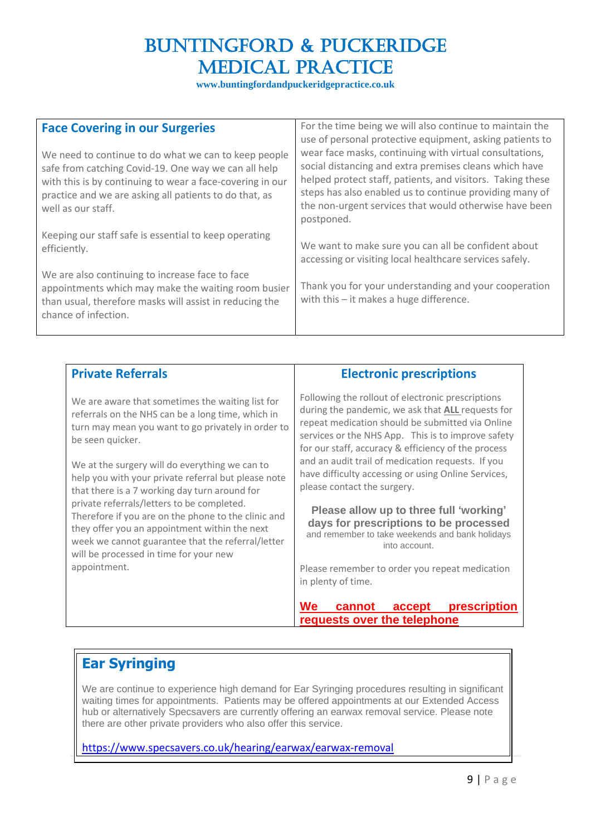**www.buntingfordandpuckeridgepractice.co.uk**

| <b>Face Covering in our Surgeries</b><br>We need to continue to do what we can to keep people<br>safe from catching Covid-19. One way we can all help<br>with this is by continuing to wear a face-covering in our<br>practice and we are asking all patients to do that, as<br>well as our staff. | For the time being we will also continue to maintain the<br>use of personal protective equipment, asking patients to<br>wear face masks, continuing with virtual consultations,<br>social distancing and extra premises cleans which have<br>helped protect staff, patients, and visitors. Taking these<br>steps has also enabled us to continue providing many of<br>the non-urgent services that would otherwise have been<br>postponed. |
|----------------------------------------------------------------------------------------------------------------------------------------------------------------------------------------------------------------------------------------------------------------------------------------------------|--------------------------------------------------------------------------------------------------------------------------------------------------------------------------------------------------------------------------------------------------------------------------------------------------------------------------------------------------------------------------------------------------------------------------------------------|
| Keeping our staff safe is essential to keep operating<br>efficiently.                                                                                                                                                                                                                              | We want to make sure you can all be confident about<br>accessing or visiting local healthcare services safely.                                                                                                                                                                                                                                                                                                                             |
| We are also continuing to increase face to face<br>appointments which may make the waiting room busier<br>than usual, therefore masks will assist in reducing the<br>chance of infection.                                                                                                          | Thank you for your understanding and your cooperation<br>with this $-$ it makes a huge difference.                                                                                                                                                                                                                                                                                                                                         |

| <b>Private Referrals</b> |
|--------------------------|
|--------------------------|

We are aware that sometimes the waiting list for referrals on the NHS can be a long time, which in turn may mean you want to go privately in order to be seen quicker.

We at the surgery will do everything we can to help you with your private referral but please note that there is a 7 working day turn around for private referrals/letters to be completed. Therefore if you are on the phone to the clinic and they offer you an appointment within the next week we cannot guarantee that the referral/letter will be processed in time for your new appointment.

## **Electronic prescriptions**

Following the rollout of electronic prescriptions during the pandemic, we ask that **ALL** requests for repeat medication should be submitted via Online services or the NHS App. This is to improve safety for our staff, accuracy & efficiency of the process and an audit trail of medication requests. If you have difficulty accessing or using Online Services, please contact the surgery.

**Please allow up to three full 'working' days for prescriptions to be processed** and remember to take weekends and bank holidays into account.

Please remember to order you repeat medication in plenty of time.

**We cannot accept prescription requests over the telephone** 

## **Ear Syringing**

We are continue to experience high demand for Ear Syringing procedures resulting in significant waiting times for appointments. Patients may be offered appointments at our Extended Access hub or alternatively Specsavers are currently offering an earwax removal service. Please note there are other private providers who also offer this service.

## <https://www.specsavers.co.uk/hearing/earwax/earwax-removal>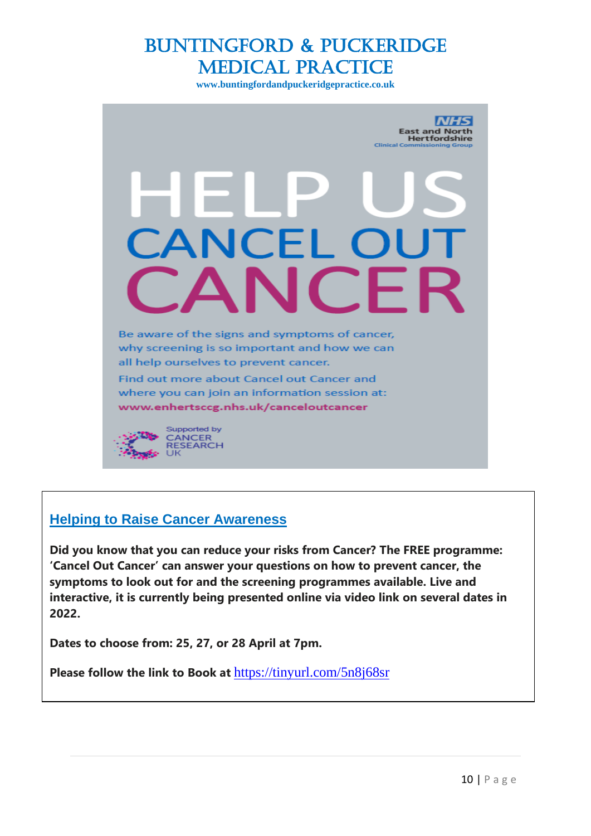**www.buntingfordandpuckeridgepractice.co.uk**



## **Helping to Raise Cancer Awareness**

**Did you know that you can reduce your risks from Cancer? The FREE programme: 'Cancel Out Cancer' can answer your questions on how to prevent cancer, the symptoms to look out for and the screening programmes available. Live and interactive, it is currently being presented online via video link on several dates in 2022.**

**Dates to choose from: 25, 27, or 28 April at 7pm.** 

**Please follow the link to Book at** <https://tinyurl.com/5n8j68sr>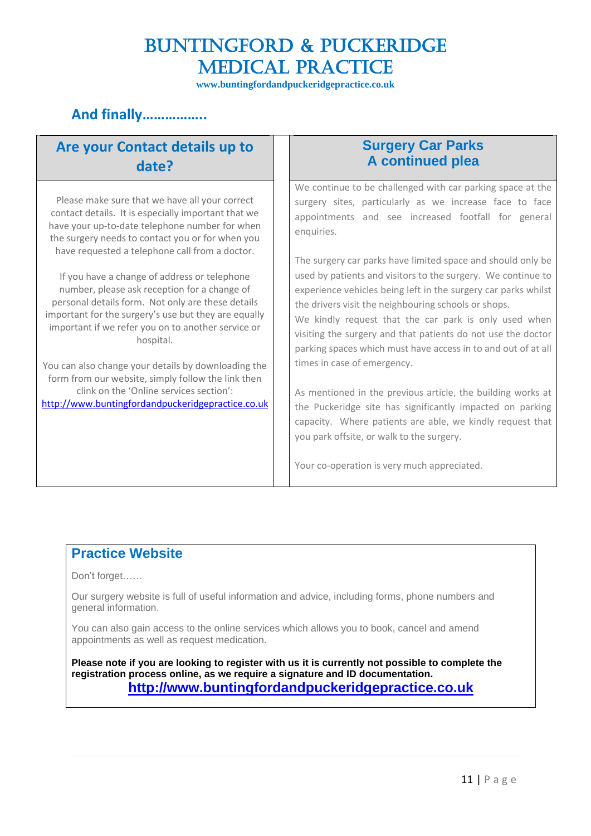**www.buntingfordandpuckeridgepractice.co.uk**

## **And finally……………..**

## **Are your Contact details up to date?**

Please make sure that we have all your correct contact details. It is especially important that we have your up-to-date telephone number for when the surgery needs to contact you or for when you have requested a telephone call from a doctor.

If you have a change of address or telephone number, please ask reception for a change of personal details form. Not only are these details important for the surgery's use but they are equally important if we refer you on to another service or hospital.

You can also change your details by downloading the form from our website, simply follow the link then clink on the 'Online services section': [http://www.buntingfordandpuckeridgepractice.co.uk](http://www.buntingfordandpuckeridgepractice.co.uk/)

## **Surgery Car Parks A continued plea**

We continue to be challenged with car parking space at the surgery sites, particularly as we increase face to face appointments and see increased footfall for general enquiries.

The surgery car parks have limited space and should only be used by patients and visitors to the surgery. We continue to experience vehicles being left in the surgery car parks whilst the drivers visit the neighbouring schools or shops.

We kindly request that the car park is only used when visiting the surgery and that patients do not use the doctor parking spaces which must have access in to and out of at all times in case of emergency.

As mentioned in the previous article, the building works at the Puckeridge site has significantly impacted on parking capacity. Where patients are able, we kindly request that you park offsite, or walk to the surgery.

Your co-operation is very much appreciated.

## **Practice Website**

Don't forget……

Our surgery website is full of useful information and advice, including forms, phone numbers and general information.

You can also gain access to the online services which allows you to book, cancel and amend appointments as well as request medication.

**Please note if you are looking to register with us it is currently not possible to complete the registration process online, as we require a signature and ID documentation. [http://www.buntingfordandpuckeridgepractice.co.uk](http://www.buntingfordandpuckeridgepractice.co.uk/)**